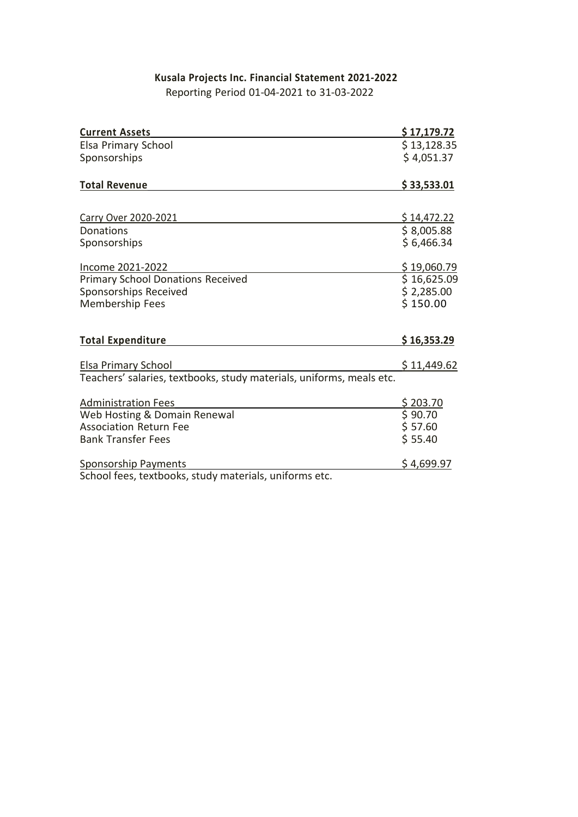# **Kusala Projects Inc. Financial Statement 2021-2022**

Reporting Period 01-04-2021 to 31-03-2022

| <b>Current Assets</b>                                                | \$17,179.72       |
|----------------------------------------------------------------------|-------------------|
| Elsa Primary School                                                  | \$13,128.35       |
| Sponsorships                                                         | \$4,051.37        |
| <b>Total Revenue</b>                                                 | \$33,533.01       |
|                                                                      |                   |
| <b>Carry Over 2020-2021</b>                                          | \$14,472.22       |
| Donations                                                            | \$8,005.88        |
| Sponsorships                                                         | \$6,466.34        |
| Income 2021-2022                                                     | \$19,060.79       |
| <b>Primary School Donations Received</b>                             | \$16,625.09       |
| Sponsorships Received                                                | \$2,285.00        |
| Membership Fees                                                      | \$150.00          |
| <b>Total Expenditure</b>                                             | \$16,353.29       |
|                                                                      |                   |
| <b>Elsa Primary School</b>                                           | \$11,449.62       |
| Teachers' salaries, textbooks, study materials, uniforms, meals etc. |                   |
| <b>Administration Fees</b>                                           | \$203.70          |
| Web Hosting & Domain Renewal                                         | 590.70            |
| <b>Association Return Fee</b>                                        | \$57.60           |
| <b>Bank Transfer Fees</b>                                            | \$55.40           |
| <b>Sponsorship Payments</b>                                          | <u>\$4,699.97</u> |
| School fees, textbooks, study materials, uniforms etc.               |                   |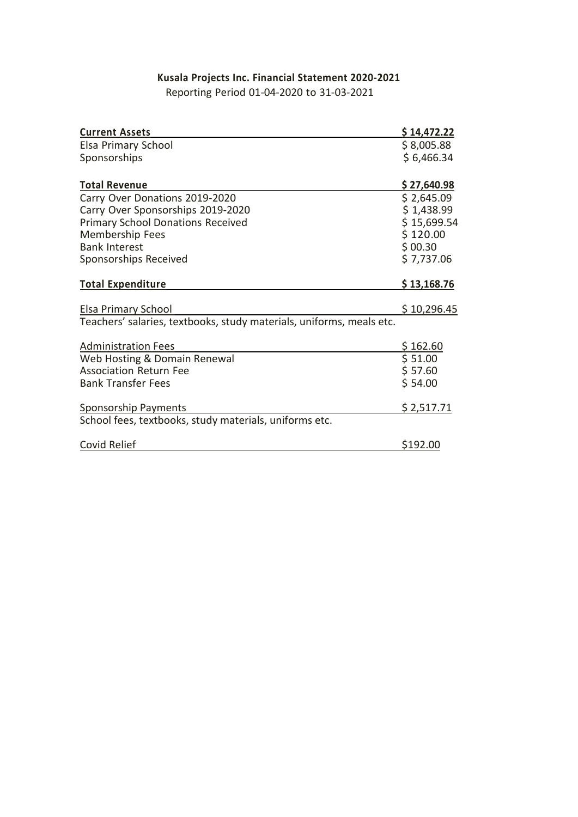# **Kusala Projects Inc. Financial Statement 2020-2021**

Reporting Period 01-04-2020 to 31-03-2021

| <b>Current Assets</b>                                                | \$14,472.22 |
|----------------------------------------------------------------------|-------------|
| Elsa Primary School                                                  | \$8,005.88  |
| Sponsorships                                                         | \$6,466.34  |
|                                                                      |             |
| <b>Total Revenue</b>                                                 | \$27,640.98 |
| Carry Over Donations 2019-2020                                       | \$2,645.09  |
| Carry Over Sponsorships 2019-2020                                    | \$1,438.99  |
| <b>Primary School Donations Received</b>                             | \$15,699.54 |
| Membership Fees                                                      | \$120.00    |
| <b>Bank Interest</b>                                                 | \$00.30     |
| Sponsorships Received                                                | \$7,737.06  |
|                                                                      |             |
| <b>Total Expenditure</b>                                             | \$13,168.76 |
|                                                                      |             |
| Elsa Primary School                                                  | \$10,296.45 |
| Teachers' salaries, textbooks, study materials, uniforms, meals etc. |             |
| <b>Administration Fees</b>                                           | \$162.60    |
| Web Hosting & Domain Renewal                                         | \$51.00     |
| <b>Association Return Fee</b>                                        | \$57.60     |
| <b>Bank Transfer Fees</b>                                            | \$54.00     |
|                                                                      |             |
| Sponsorship Payments                                                 | \$2,517.71  |
| School fees, textbooks, study materials, uniforms etc.               |             |
|                                                                      |             |
| Covid Relief                                                         | \$192.00    |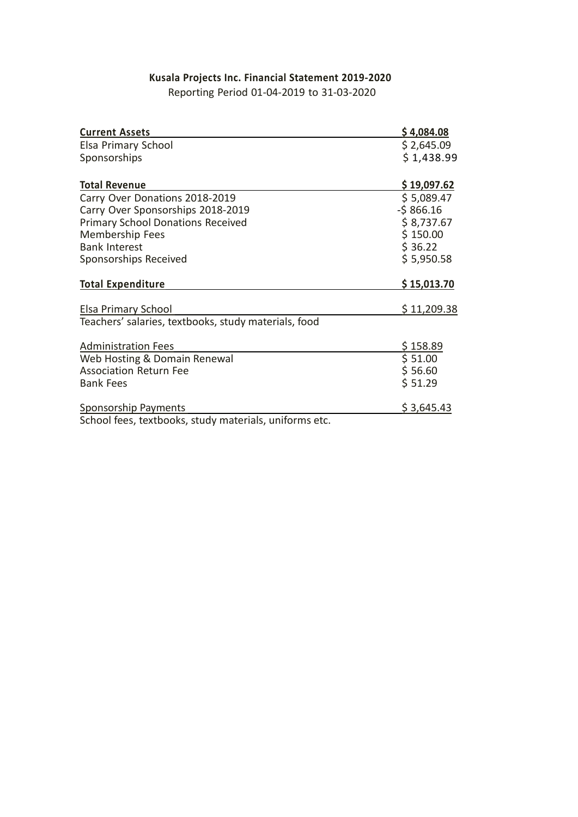# **Kusala Projects Inc. Financial Statement 2019-2020**

| <b>Current Assets</b>                                | \$4,084.08  |
|------------------------------------------------------|-------------|
| Elsa Primary School                                  | \$2,645.09  |
| Sponsorships                                         | \$1,438.99  |
| <b>Total Revenue</b>                                 | \$19,097.62 |
| Carry Over Donations 2018-2019                       | \$5,089.47  |
| Carry Over Sponsorships 2018-2019                    | $-5866.16$  |
| <b>Primary School Donations Received</b>             | \$8,737.67  |
| Membership Fees                                      | \$150.00    |
| <b>Bank Interest</b>                                 | \$36.22     |
| Sponsorships Received                                | \$5,950.58  |
| <b>Total Expenditure</b>                             | \$15,013.70 |
| Elsa Primary School                                  | \$11,209.38 |
| Teachers' salaries, textbooks, study materials, food |             |
| <b>Administration Fees</b>                           | \$158.89    |
| Web Hosting & Domain Renewal                         | \$51.00     |
| <b>Association Return Fee</b>                        | \$56.60     |
|                                                      | \$51.29     |
| <b>Bank Fees</b>                                     |             |
| <b>Sponsorship Payments</b>                          | \$3,645.43  |

### Reporting Period 01-04-2019 to 31-03-2020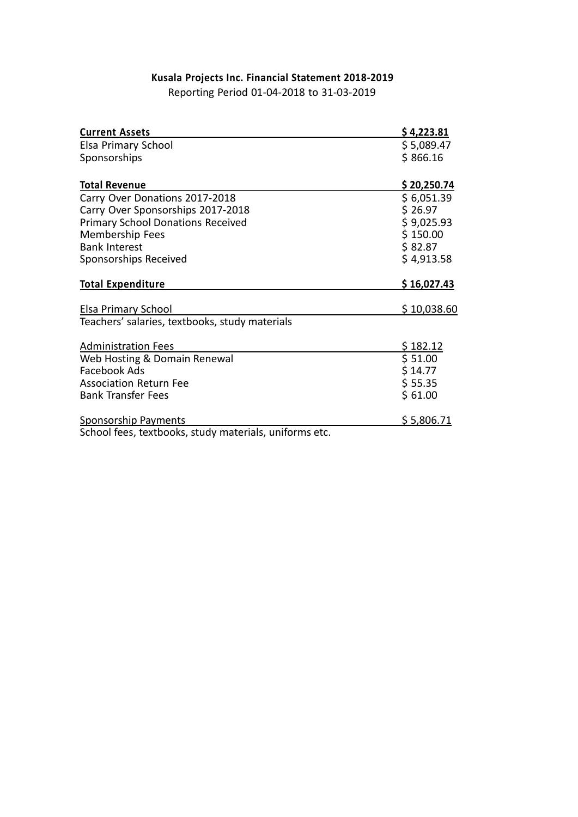#### **Kusala Projects Inc. Financial Statement 2018-2019** Reporting Period 01-04-2018 to 31-03-2019

| <b>Current Assets</b>                                  | \$4,223.81  |
|--------------------------------------------------------|-------------|
| Elsa Primary School                                    | \$5,089.47  |
| Sponsorships                                           | \$866.16    |
|                                                        |             |
| <b>Total Revenue</b>                                   | \$20,250.74 |
| Carry Over Donations 2017-2018                         | \$6,051.39  |
| Carry Over Sponsorships 2017-2018                      | \$26.97     |
| <b>Primary School Donations Received</b>               | \$9,025.93  |
| Membership Fees                                        | \$150.00    |
| <b>Bank Interest</b>                                   | \$82.87     |
| Sponsorships Received                                  | \$4,913.58  |
| <b>Total Expenditure</b>                               | \$16,027.43 |
| Elsa Primary School                                    | \$10,038.60 |
| Teachers' salaries, textbooks, study materials         |             |
| <b>Administration Fees</b>                             | \$182.12    |
| Web Hosting & Domain Renewal                           | \$51.00     |
| Facebook Ads                                           | \$14.77     |
| <b>Association Return Fee</b>                          | \$55.35     |
| <b>Bank Transfer Fees</b>                              | \$61.00     |
| <b>Sponsorship Payments</b>                            | \$5,806.71  |
| School fees, textbooks, study materials, uniforms etc. |             |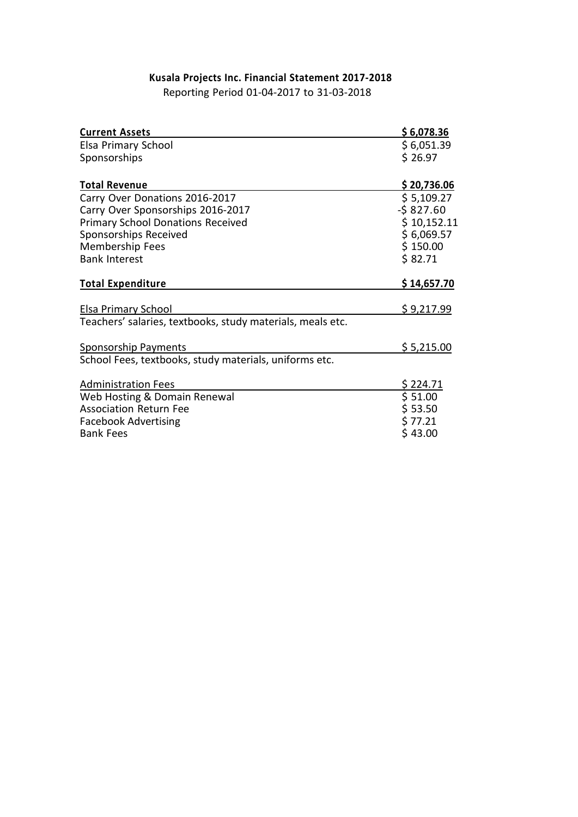## **Kusala Projects Inc. Financial Statement 2017-2018**

Reporting Period 01-04-2017 to 31-03-2018

| \$6,078.36  |
|-------------|
| \$6,051.39  |
| \$26.97     |
|             |
| \$20,736.06 |
| \$5,109.27  |
| $-5827.60$  |
| \$10,152.11 |
| \$6,069.57  |
| \$150.00    |
| \$82.71     |
| \$14,657.70 |
| \$9,217.99  |
|             |
| \$5,215.00  |
|             |
| \$224.71    |
| \$51.00     |
| \$53.50     |
| \$77.21     |
| \$43.00     |
|             |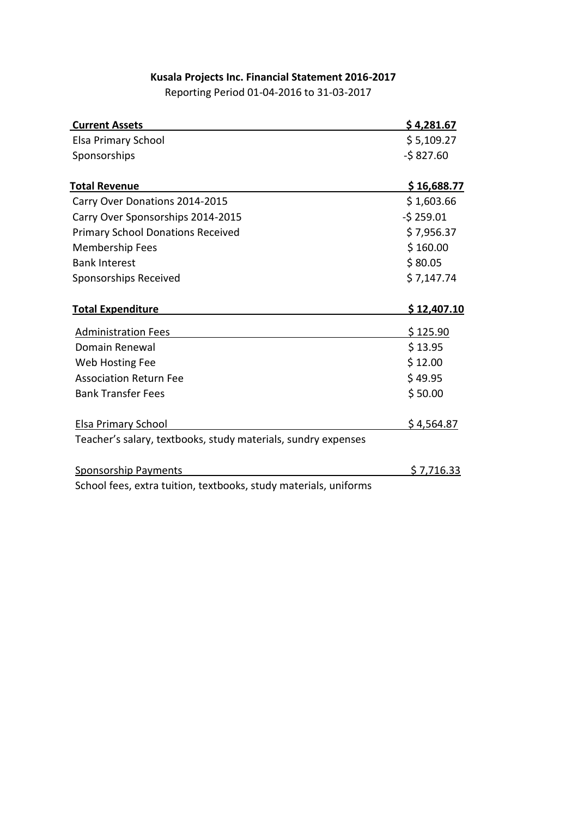#### **Kusala Projects Inc. Financial Statement 2016-2017**

Reporting Period 01-04-2016 to 31-03-2017

| <b>Current Assets</b>                                            | \$4,281.67  |
|------------------------------------------------------------------|-------------|
| Elsa Primary School                                              | \$5,109.27  |
| Sponsorships                                                     | $-5827.60$  |
| <b>Total Revenue</b>                                             | \$16,688.77 |
| Carry Over Donations 2014-2015                                   | \$1,603.66  |
| Carry Over Sponsorships 2014-2015                                | $-5259.01$  |
| <b>Primary School Donations Received</b>                         | \$7,956.37  |
| Membership Fees                                                  | \$160.00    |
| <b>Bank Interest</b>                                             | \$80.05     |
| Sponsorships Received                                            | \$7,147.74  |
| <b>Total Expenditure</b>                                         | \$12,407.10 |
| <b>Administration Fees</b>                                       | \$125.90    |
| Domain Renewal                                                   | \$13.95     |
| Web Hosting Fee                                                  | \$12.00     |
| <b>Association Return Fee</b>                                    | \$49.95     |
| <b>Bank Transfer Fees</b>                                        | \$50.00     |
| Elsa Primary School                                              | \$4,564.87  |
| Teacher's salary, textbooks, study materials, sundry expenses    |             |
| <b>Sponsorship Payments</b>                                      | \$7,716.33  |
| School fees, extra tuition, textbooks, study materials, uniforms |             |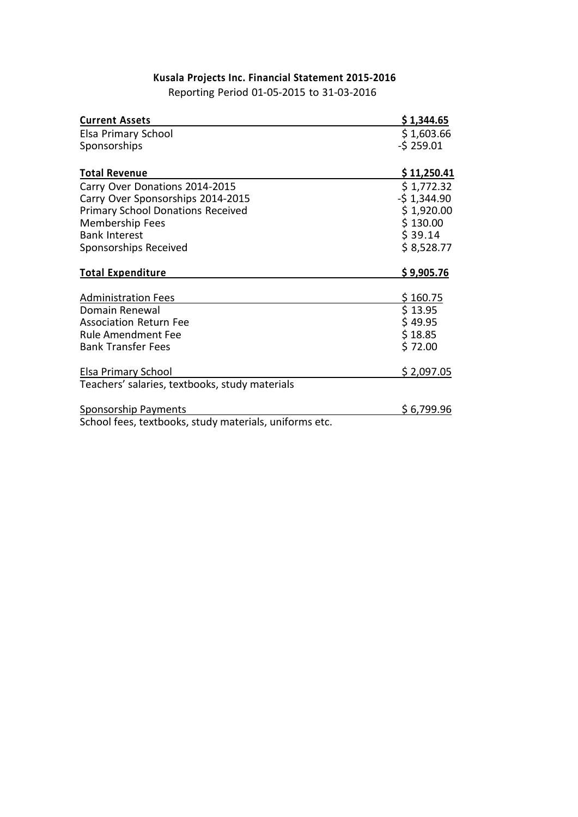### **Kusala Projects Inc. Financial Statement 2015-2016**

Reporting Period 01-05-2015 to 31-03-2016

| <b>Current Assets</b>                                                 | \$1,344.65   |
|-----------------------------------------------------------------------|--------------|
| Elsa Primary School                                                   | \$1,603.66   |
| Sponsorships                                                          | $-5259.01$   |
|                                                                       |              |
| <b>Total Revenue</b>                                                  | \$11,250.41  |
| Carry Over Donations 2014-2015                                        | \$1,772.32   |
| Carry Over Sponsorships 2014-2015                                     | $-51,344.90$ |
| <b>Primary School Donations Received</b>                              | \$1,920.00   |
| Membership Fees                                                       | \$130.00     |
| <b>Bank Interest</b>                                                  | \$39.14      |
| Sponsorships Received                                                 | \$8,528.77   |
| <b>Total Expenditure</b>                                              | \$9,905.76   |
|                                                                       |              |
| <b>Administration Fees</b>                                            | \$160.75     |
| Domain Renewal                                                        | \$13.95      |
| <b>Association Return Fee</b>                                         | \$49.95      |
| <b>Rule Amendment Fee</b>                                             | \$18.85      |
|                                                                       | \$72.00      |
| <b>Bank Transfer Fees</b>                                             |              |
|                                                                       |              |
| Elsa Primary School<br>Teachers' salaries, textbooks, study materials | \$2,097.05   |
| <b>Sponsorship Payments</b>                                           | \$6,799.96   |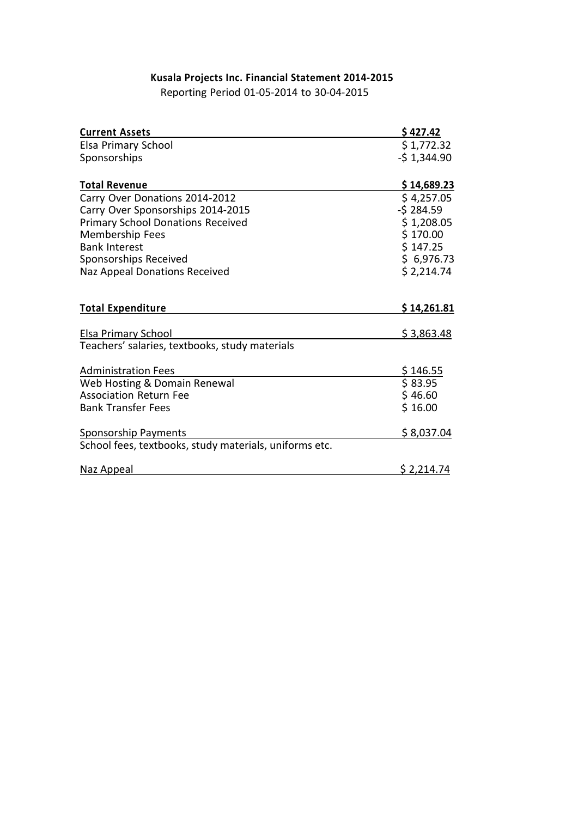### **Kusala Projects Inc. Financial Statement 2014-2015**

Reporting Period 01-05-2014 to 30-04-2015

| <b>Current Assets</b>                                  | \$427.42          |
|--------------------------------------------------------|-------------------|
| Elsa Primary School                                    | \$1,772.32        |
| Sponsorships                                           | $-51,344.90$      |
|                                                        |                   |
| <b>Total Revenue</b>                                   | \$14,689.23       |
| Carry Over Donations 2014-2012                         | \$4,257.05        |
| Carry Over Sponsorships 2014-2015                      | $-5284.59$        |
| <b>Primary School Donations Received</b>               | \$1,208.05        |
| Membership Fees                                        | \$170.00          |
| <b>Bank Interest</b>                                   | \$147.25          |
| Sponsorships Received                                  | \$6,976.73        |
| Naz Appeal Donations Received                          | \$2,214.74        |
|                                                        |                   |
| <b>Total Expenditure</b>                               | \$14,261.81       |
|                                                        |                   |
| Elsa Primary School                                    | \$3,863.48        |
| Teachers' salaries, textbooks, study materials         |                   |
| <b>Administration Fees</b>                             | \$146.55          |
| Web Hosting & Domain Renewal                           | \$83.95           |
| <b>Association Return Fee</b>                          | \$46.60           |
| <b>Bank Transfer Fees</b>                              | \$16.00           |
|                                                        |                   |
| <b>Sponsorship Payments</b>                            | <u>\$8,037.04</u> |
| School fees, textbooks, study materials, uniforms etc. |                   |
| Naz Appeal                                             | \$2,214.74        |
|                                                        |                   |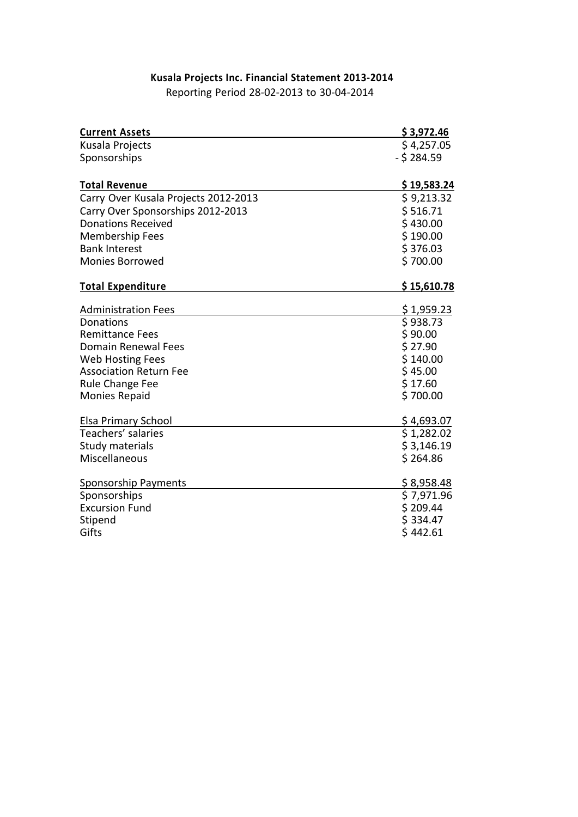# **Kusala Projects Inc. Financial Statement 2013-2014**

Reporting Period 28-02-2013 to 30-04-2014

| <b>Current Assets</b>                            | \$3,972.46             |
|--------------------------------------------------|------------------------|
| Kusala Projects                                  | \$4,257.05             |
| Sponsorships                                     | - \$ 284.59            |
|                                                  |                        |
| <b>Total Revenue</b>                             | \$19,583.24            |
| Carry Over Kusala Projects 2012-2013             | \$9,213.32             |
| Carry Over Sponsorships 2012-2013                | \$516.71               |
| <b>Donations Received</b>                        | \$430.00               |
| <b>Membership Fees</b>                           | \$190.00               |
| <b>Bank Interest</b>                             | \$376.03               |
| <b>Monies Borrowed</b>                           | \$700.00               |
| <b>Total Expenditure</b>                         | \$15,610.78            |
| <b>Administration Fees</b>                       | \$1,959.23             |
| Donations                                        | \$938.73               |
| <b>Remittance Fees</b>                           | \$90.00                |
| <b>Domain Renewal Fees</b>                       | \$27.90                |
| <b>Web Hosting Fees</b>                          | \$140.00               |
| <b>Association Return Fee</b>                    | \$45.00                |
| Rule Change Fee                                  | \$17.60                |
| <b>Monies Repaid</b>                             | \$700.00               |
|                                                  |                        |
| <b>Elsa Primary School</b><br>Teachers' salaries | \$4,693.07             |
|                                                  | \$1,282.02             |
| Study materials<br>Miscellaneous                 | \$3,146.19<br>\$264.86 |
|                                                  |                        |
| <b>Sponsorship Payments</b>                      | \$8,958.48             |
| Sponsorships                                     | \$7,971.96             |
| <b>Excursion Fund</b>                            | \$209.44               |
| Stipend                                          | \$334.47               |
| Gifts                                            | \$442.61               |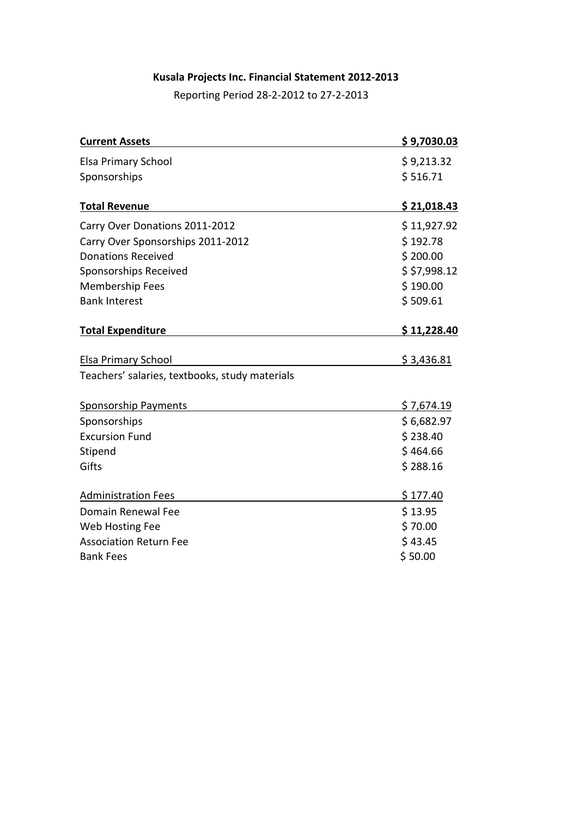### **Kusala Projects Inc. Financial Statement 2012-2013**

Reporting Period 28-2-2012 to 27-2-2013

| <b>Current Assets</b>                          | \$9,7030.03        |
|------------------------------------------------|--------------------|
| Elsa Primary School                            | \$9,213.32         |
| Sponsorships                                   | \$516.71           |
| <b>Total Revenue</b>                           | <u>\$21,018.43</u> |
| Carry Over Donations 2011-2012                 | \$11,927.92        |
| Carry Over Sponsorships 2011-2012              | \$192.78           |
| <b>Donations Received</b>                      | \$200.00           |
| Sponsorships Received                          | \$5,998.12         |
| <b>Membership Fees</b>                         | \$190.00           |
| <b>Bank Interest</b>                           | \$509.61           |
| <b>Total Expenditure</b>                       | \$11,228.40        |
| <b>Elsa Primary School</b>                     | \$3,436.81         |
| Teachers' salaries, textbooks, study materials |                    |
| Sponsorship Payments                           | \$7,674.19         |
| Sponsorships                                   | \$6,682.97         |
| <b>Excursion Fund</b>                          | \$238.40           |
| Stipend                                        | \$464.66           |
| Gifts                                          | \$288.16           |
| <b>Administration Fees</b>                     | \$177.40           |
| Domain Renewal Fee                             | \$13.95            |
| Web Hosting Fee                                | \$70.00            |
| <b>Association Return Fee</b>                  | \$43.45            |
| <b>Bank Fees</b>                               | \$50.00            |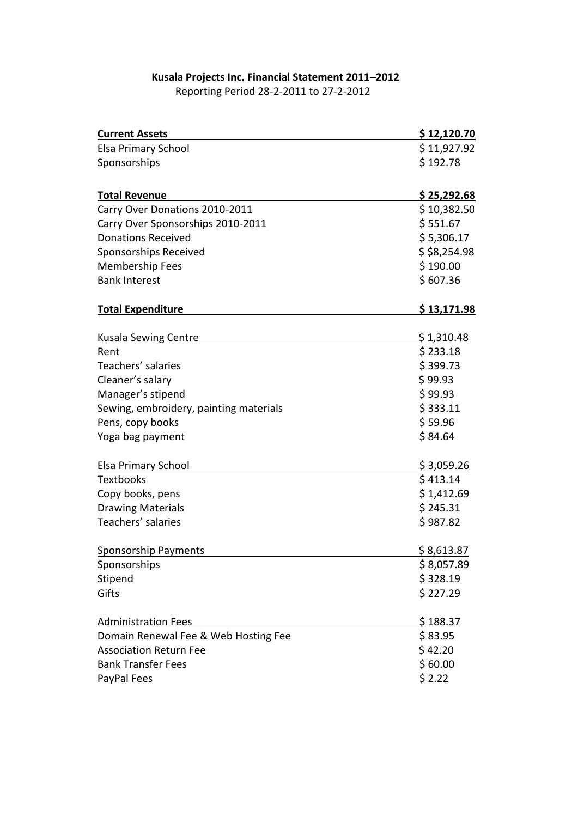### **Kusala Projects Inc. Financial Statement 2011–2012**

Reporting Period 28-2-2011 to 27-2-2012

| <b>Current Assets</b>                  | \$12,120.70        |
|----------------------------------------|--------------------|
| <b>Elsa Primary School</b>             | \$11,927.92        |
| Sponsorships                           | \$192.78           |
|                                        |                    |
| <b>Total Revenue</b>                   | \$25,292.68        |
| Carry Over Donations 2010-2011         | \$10,382.50        |
| Carry Over Sponsorships 2010-2011      | \$551.67           |
| <b>Donations Received</b>              | \$5,306.17         |
| Sponsorships Received                  | \$5,254.98         |
| Membership Fees                        | \$190.00           |
| <b>Bank Interest</b>                   | \$607.36           |
| <b>Total Expenditure</b>               | <u>\$13,171.98</u> |
| <b>Kusala Sewing Centre</b>            | \$1,310.48         |
| Rent                                   | \$233.18           |
| Teachers' salaries                     | \$399.73           |
| Cleaner's salary                       | \$99.93            |
| Manager's stipend                      | \$99.93            |
| Sewing, embroidery, painting materials | \$333.11           |
| Pens, copy books                       | \$59.96            |
| Yoga bag payment                       | \$84.64            |
|                                        |                    |
| <b>Elsa Primary School</b>             | \$3,059.26         |
| <b>Textbooks</b>                       | \$413.14           |
| Copy books, pens                       | \$1,412.69         |
| <b>Drawing Materials</b>               | \$245.31           |
| Teachers' salaries                     | \$987.82           |
| <b>Sponsorship Payments</b>            | \$8,613.87         |
| Sponsorships                           | \$8,057.89         |
| Stipend                                | \$328.19           |
| Gifts                                  | \$227.29           |
|                                        |                    |
| <b>Administration Fees</b>             | \$188.37           |
| Domain Renewal Fee & Web Hosting Fee   | \$83.95            |
| <b>Association Return Fee</b>          | \$42.20            |
| <b>Bank Transfer Fees</b>              | \$60.00            |
| PayPal Fees                            | \$2.22             |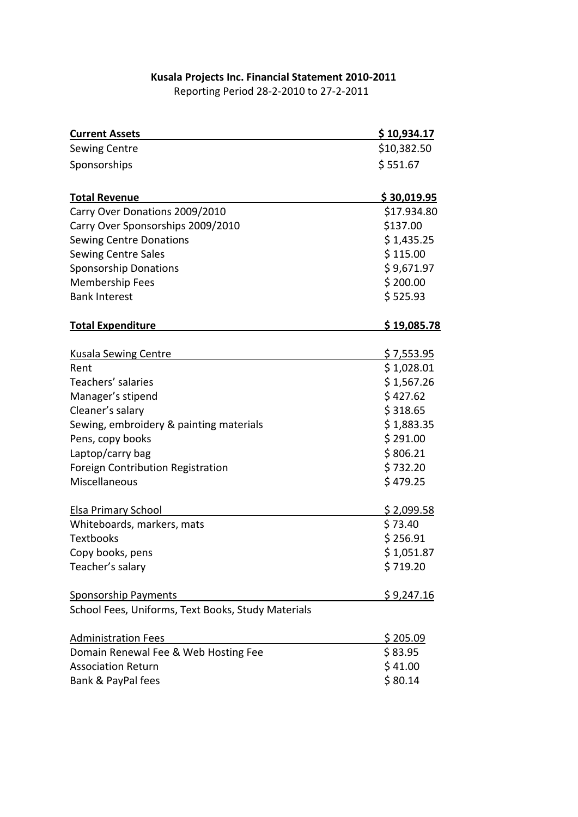### **Kusala Projects Inc. Financial Statement 2010-2011**

Reporting Period 28-2-2010 to 27-2-2011

| <b>Current Assets</b>                              | <u>\$10,934.17</u> |
|----------------------------------------------------|--------------------|
| <b>Sewing Centre</b>                               | \$10,382.50        |
| Sponsorships                                       | \$551.67           |
| <b>Total Revenue</b>                               | \$30,019.95        |
| Carry Over Donations 2009/2010                     | \$17.934.80        |
| Carry Over Sponsorships 2009/2010                  | \$137.00           |
| <b>Sewing Centre Donations</b>                     | \$1,435.25         |
| <b>Sewing Centre Sales</b>                         | \$115.00           |
| <b>Sponsorship Donations</b>                       | \$9,671.97         |
| <b>Membership Fees</b>                             | \$200.00           |
| <b>Bank Interest</b>                               | \$525.93           |
| <b>Total Expenditure</b>                           | \$19,085.78        |
|                                                    |                    |
| <b>Kusala Sewing Centre</b>                        | <u>\$7,553.95</u>  |
| Rent                                               | \$1,028.01         |
| Teachers' salaries                                 | \$1,567.26         |
| Manager's stipend                                  | \$427.62           |
| Cleaner's salary                                   | \$318.65           |
| Sewing, embroidery & painting materials            | \$1,883.35         |
| Pens, copy books                                   | \$291.00           |
| Laptop/carry bag                                   | \$806.21           |
| Foreign Contribution Registration                  | \$732.20           |
| Miscellaneous                                      | \$479.25           |
| <b>Elsa Primary School</b>                         | \$2,099.58         |
| Whiteboards, markers, mats                         | \$73.40            |
| <b>Textbooks</b>                                   | \$256.91           |
| Copy books, pens                                   | \$1,051.87         |
| Teacher's salary                                   | \$719.20           |
| <b>Sponsorship Payments</b>                        | \$9,247.16         |
| School Fees, Uniforms, Text Books, Study Materials |                    |
| <b>Administration Fees</b>                         | \$205.09           |
| Domain Renewal Fee & Web Hosting Fee               | \$83.95            |
| <b>Association Return</b>                          | \$41.00            |
| Bank & PayPal fees                                 | \$80.14            |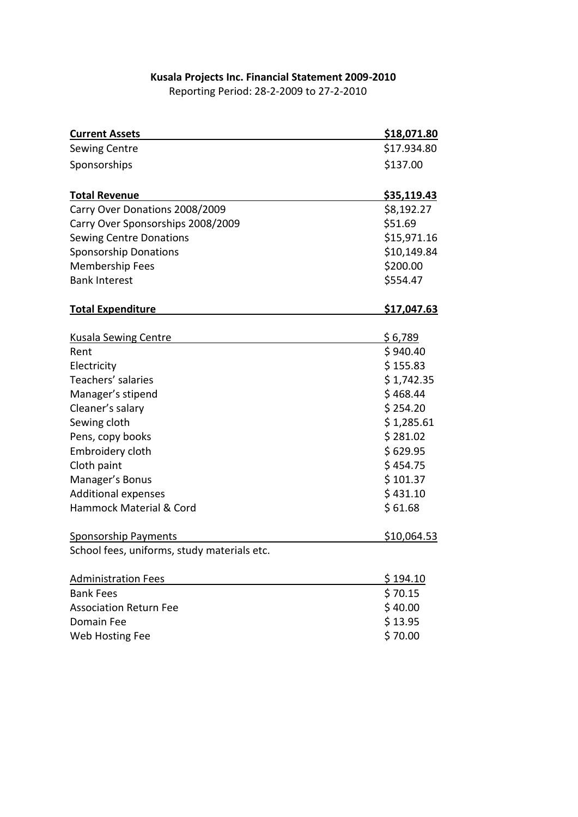#### **Kusala Projects Inc. Financial Statement 2009-2010**

Reporting Period: 28-2-2009 to 27-2-2010

| <b>Current Assets</b>                       | \$18,071.80                |
|---------------------------------------------|----------------------------|
| <b>Sewing Centre</b>                        | \$17.934.80                |
| Sponsorships                                | \$137.00                   |
|                                             |                            |
| <b>Total Revenue</b>                        | <u>\$35,119.43</u>         |
| Carry Over Donations 2008/2009              | \$8,192.27                 |
| Carry Over Sponsorships 2008/2009           | \$51.69                    |
| <b>Sewing Centre Donations</b>              | \$15,971.16                |
| <b>Sponsorship Donations</b>                | \$10,149.84                |
| <b>Membership Fees</b>                      | \$200.00                   |
| <b>Bank Interest</b>                        | \$554.47                   |
|                                             |                            |
| <b>Total Expenditure</b>                    | \$17,047.63                |
|                                             |                            |
| <b>Kusala Sewing Centre</b><br>Rent         | <u>\$6,789</u><br>\$940.40 |
| Electricity                                 | \$155.83                   |
| Teachers' salaries                          | \$1,742.35                 |
| Manager's stipend                           | \$468.44                   |
| Cleaner's salary                            | \$254.20                   |
| Sewing cloth                                | \$1,285.61                 |
| Pens, copy books                            | \$281.02                   |
| Embroidery cloth                            | \$629.95                   |
| Cloth paint                                 | \$454.75                   |
| Manager's Bonus                             | \$101.37                   |
| <b>Additional expenses</b>                  | \$431.10                   |
| Hammock Material & Cord                     | \$61.68                    |
|                                             |                            |
| <b>Sponsorship Payments</b>                 | \$10,064.53                |
| School fees, uniforms, study materials etc. |                            |
|                                             |                            |
| <b>Administration Fees</b>                  | \$194.10                   |
| <b>Bank Fees</b>                            | \$70.15                    |
| <b>Association Return Fee</b>               | \$40.00                    |
| Domain Fee                                  | \$13.95                    |
| Web Hosting Fee                             | \$70.00                    |